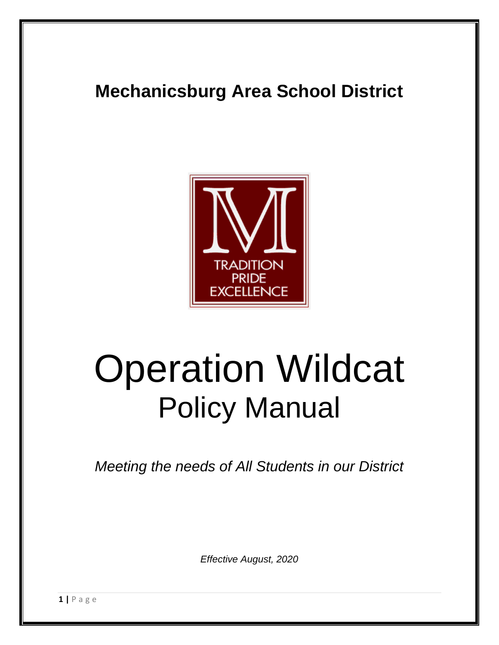## **Mechanicsburg Area School District**



# Operation Wildcat Policy Manual

*Meeting the needs of All Students in our District*

*Effective August, 2020*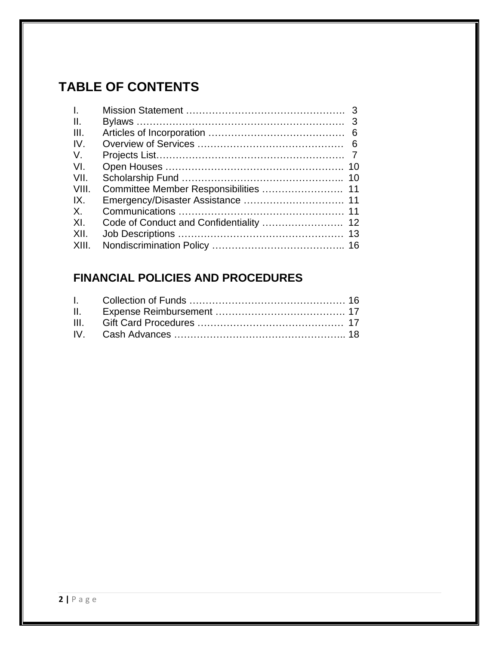## **TABLE OF CONTENTS**

| 10 |
|----|
| 10 |
|    |
|    |
| 11 |
|    |
| 13 |
|    |
|    |

## **FINANCIAL POLICIES AND PROCEDURES**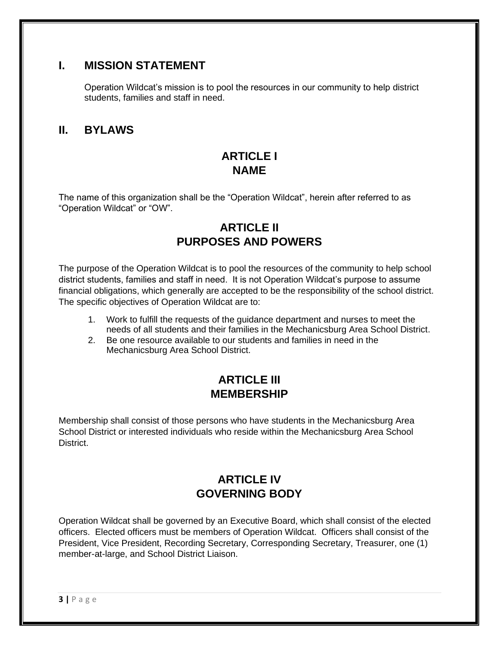## **I. MISSION STATEMENT**

Operation Wildcat's mission is to pool the resources in our community to help district students, families and staff in need.

#### **II. BYLAWS**

## **ARTICLE I NAME**

The name of this organization shall be the "Operation Wildcat", herein after referred to as "Operation Wildcat" or "OW".

## **ARTICLE II PURPOSES AND POWERS**

The purpose of the Operation Wildcat is to pool the resources of the community to help school district students, families and staff in need. It is not Operation Wildcat's purpose to assume financial obligations, which generally are accepted to be the responsibility of the school district. The specific objectives of Operation Wildcat are to:

- 1. Work to fulfill the requests of the guidance department and nurses to meet the needs of all students and their families in the Mechanicsburg Area School District.
- 2. Be one resource available to our students and families in need in the Mechanicsburg Area School District.

## **ARTICLE III MEMBERSHIP**

Membership shall consist of those persons who have students in the Mechanicsburg Area School District or interested individuals who reside within the Mechanicsburg Area School District.

## **ARTICLE IV GOVERNING BODY**

Operation Wildcat shall be governed by an Executive Board, which shall consist of the elected officers. Elected officers must be members of Operation Wildcat. Officers shall consist of the President, Vice President, Recording Secretary, Corresponding Secretary, Treasurer, one (1) member-at-large, and School District Liaison.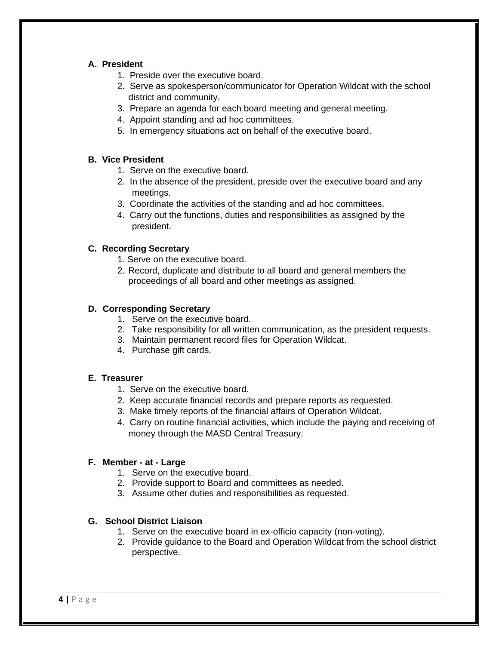#### **A. President**

- 1. Preside over the executive board.
- 2. Serve as spokesperson/communicator for Operation Wildcat with the school district and community.
- 3. Prepare an agenda for each board meeting and general meeting.
- 4. Appoint standing and ad hoc committees.
- 5. In emergency situations act on behalf of the executive board.

#### **B. Vice President**

- 1. Serve on the executive board.
- 2. In the absence of the president, preside over the executive board and any meetings.
- 3. Coordinate the activities of the standing and ad hoc committees.
- 4. Carry out the functions, duties and responsibilities as assigned by the president.

#### **C. Recording Secretary**

- 1. Serve on the executive board.
- 2. Record, duplicate and distribute to all board and general members the proceedings of all board and other meetings as assigned.

#### **D. Corresponding Secretary**

- 1. Serve on the executive board.
- 2. Take responsibility for all written communication, as the president requests.
- 3. Maintain permanent record files for Operation Wildcat.
- 4. Purchase gift cards.

#### **E. Treasurer**

- 1. Serve on the executive board.
- 2. Keep accurate financial records and prepare reports as requested.
- 3. Make timely reports of the financial affairs of Operation Wildcat.
- 4. Carry on routine financial activities, which include the paying and receiving of money through the MASD Central Treasury.

#### **F. Member - at - Large**

- 1. Serve on the executive board.
- 2. Provide support to Board and committees as needed.
- 3. Assume other duties and responsibilities as requested.

#### **G. School District Liaison**

- 1. Serve on the executive board in ex-officio capacity (non-voting).
- 2. Provide guidance to the Board and Operation Wildcat from the school district perspective.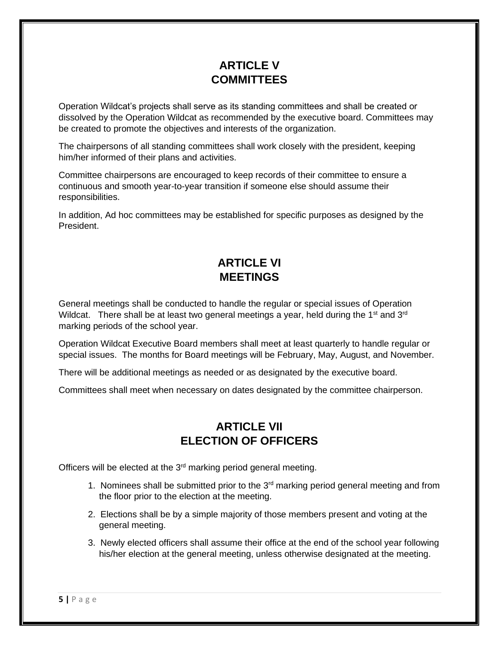## **ARTICLE V COMMITTEES**

Operation Wildcat's projects shall serve as its standing committees and shall be created or dissolved by the Operation Wildcat as recommended by the executive board. Committees may be created to promote the objectives and interests of the organization.

The chairpersons of all standing committees shall work closely with the president, keeping him/her informed of their plans and activities.

Committee chairpersons are encouraged to keep records of their committee to ensure a continuous and smooth year-to-year transition if someone else should assume their responsibilities.

In addition, Ad hoc committees may be established for specific purposes as designed by the President.

## **ARTICLE VI MEETINGS**

General meetings shall be conducted to handle the regular or special issues of Operation Wildcat. There shall be at least two general meetings a year, held during the 1<sup>st</sup> and 3<sup>rd</sup> marking periods of the school year.

Operation Wildcat Executive Board members shall meet at least quarterly to handle regular or special issues. The months for Board meetings will be February, May, August, and November.

There will be additional meetings as needed or as designated by the executive board.

Committees shall meet when necessary on dates designated by the committee chairperson.

## **ARTICLE VII ELECTION OF OFFICERS**

Officers will be elected at the 3<sup>rd</sup> marking period general meeting.

- 1. Nominees shall be submitted prior to the  $3<sup>rd</sup>$  marking period general meeting and from the floor prior to the election at the meeting.
- 2. Elections shall be by a simple majority of those members present and voting at the general meeting.
- 3. Newly elected officers shall assume their office at the end of the school year following his/her election at the general meeting, unless otherwise designated at the meeting.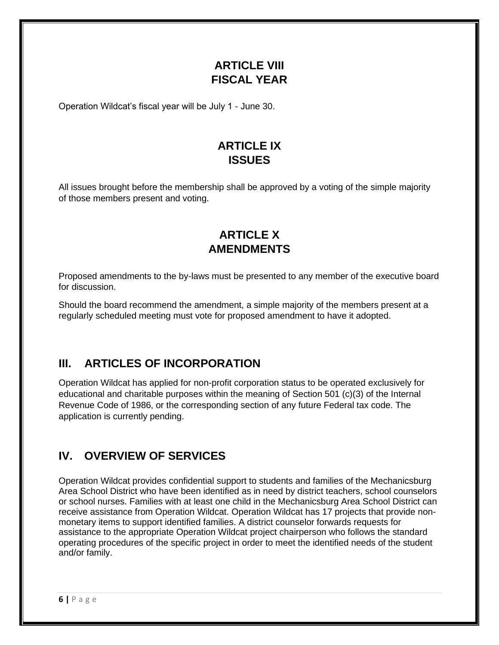## **ARTICLE VIII FISCAL YEAR**

Operation Wildcat's fiscal year will be July 1 - June 30.

## **ARTICLE IX ISSUES**

All issues brought before the membership shall be approved by a voting of the simple majority of those members present and voting.

## **ARTICLE X AMENDMENTS**

Proposed amendments to the by-laws must be presented to any member of the executive board for discussion.

Should the board recommend the amendment, a simple majority of the members present at a regularly scheduled meeting must vote for proposed amendment to have it adopted.

## **III. ARTICLES OF INCORPORATION**

Operation Wildcat has applied for non-profit corporation status to be operated exclusively for educational and charitable purposes within the meaning of Section 501 (c)(3) of the Internal Revenue Code of 1986, or the corresponding section of any future Federal tax code. The application is currently pending.

## **IV. OVERVIEW OF SERVICES**

Operation Wildcat provides confidential support to students and families of the Mechanicsburg Area School District who have been identified as in need by district teachers, school counselors or school nurses. Families with at least one child in the Mechanicsburg Area School District can receive assistance from Operation Wildcat. Operation Wildcat has 17 projects that provide nonmonetary items to support identified families. A district counselor forwards requests for assistance to the appropriate Operation Wildcat project chairperson who follows the standard operating procedures of the specific project in order to meet the identified needs of the student and/or family.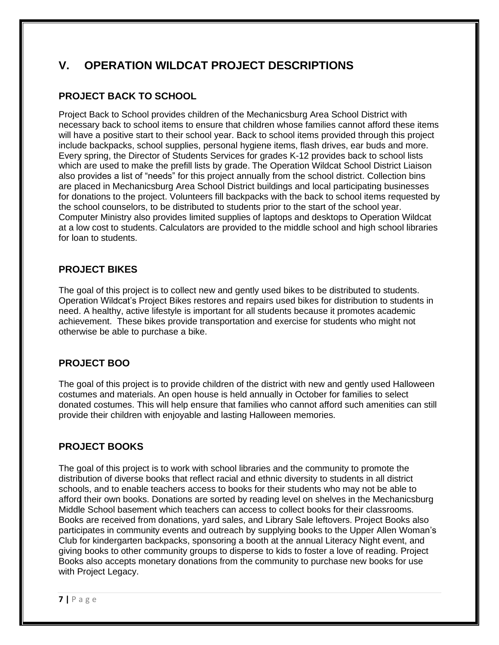## **V. OPERATION WILDCAT PROJECT DESCRIPTIONS**

#### **PROJECT BACK TO SCHOOL**

Project Back to School provides children of the Mechanicsburg Area School District with necessary back to school items to ensure that children whose families cannot afford these items will have a positive start to their school year. Back to school items provided through this project include backpacks, school supplies, personal hygiene items, flash drives, ear buds and more. Every spring, the Director of Students Services for grades K-12 provides back to school lists which are used to make the prefill lists by grade. The Operation Wildcat School District Liaison also provides a list of "needs" for this project annually from the school district. Collection bins are placed in Mechanicsburg Area School District buildings and local participating businesses for donations to the project. Volunteers fill backpacks with the back to school items requested by the school counselors, to be distributed to students prior to the start of the school year. Computer Ministry also provides limited supplies of laptops and desktops to Operation Wildcat at a low cost to students. Calculators are provided to the middle school and high school libraries for loan to students.

#### **PROJECT BIKES**

The goal of this project is to collect new and gently used bikes to be distributed to students. Operation Wildcat's Project Bikes restores and repairs used bikes for distribution to students in need. A healthy, active lifestyle is important for all students because it promotes academic achievement. These bikes provide transportation and exercise for students who might not otherwise be able to purchase a bike.

#### **PROJECT BOO**

The goal of this project is to provide children of the district with new and gently used Halloween costumes and materials. An open house is held annually in October for families to select donated costumes. This will help ensure that families who cannot afford such amenities can still provide their children with enjoyable and lasting Halloween memories.

#### **PROJECT BOOKS**

The goal of this project is to work with school libraries and the community to promote the distribution of diverse books that reflect racial and ethnic diversity to students in all district schools, and to enable teachers access to books for their students who may not be able to afford their own books. Donations are sorted by reading level on shelves in the Mechanicsburg Middle School basement which teachers can access to collect books for their classrooms. Books are received from donations, yard sales, and Library Sale leftovers. Project Books also participates in community events and outreach by supplying books to the Upper Allen Woman's Club for kindergarten backpacks, sponsoring a booth at the annual Literacy Night event, and giving books to other community groups to disperse to kids to foster a love of reading. Project Books also accepts monetary donations from the community to purchase new books for use with Project Legacy.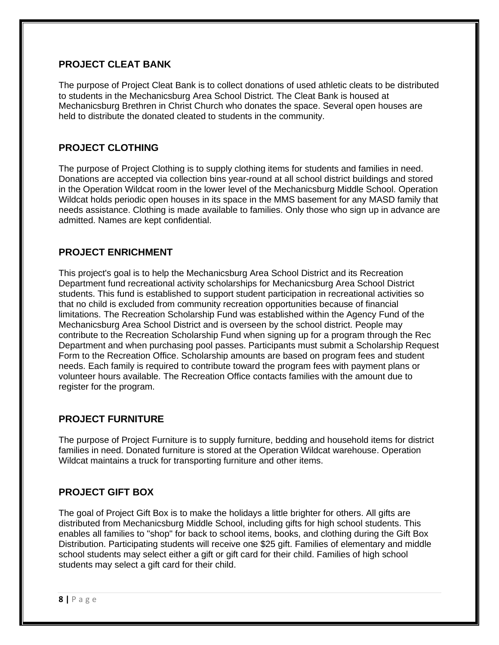#### **PROJECT CLEAT BANK**

The purpose of Project Cleat Bank is to collect donations of used athletic cleats to be distributed to students in the Mechanicsburg Area School District. The Cleat Bank is housed at Mechanicsburg Brethren in Christ Church who donates the space. Several open houses are held to distribute the donated cleated to students in the community.

#### **PROJECT CLOTHING**

The purpose of Project Clothing is to supply clothing items for students and families in need. Donations are accepted via collection bins year-round at all school district buildings and stored in the Operation Wildcat room in the lower level of the Mechanicsburg Middle School. Operation Wildcat holds periodic open houses in its space in the MMS basement for any MASD family that needs assistance. Clothing is made available to families. Only those who sign up in advance are admitted. Names are kept confidential.

#### **PROJECT ENRICHMENT**

This project's goal is to help the Mechanicsburg Area School District and its Recreation Department fund recreational activity scholarships for Mechanicsburg Area School District students. This fund is established to support student participation in recreational activities so that no child is excluded from community recreation opportunities because of financial limitations. The Recreation Scholarship Fund was established within the Agency Fund of the Mechanicsburg Area School District and is overseen by the school district. People may contribute to the Recreation Scholarship Fund when signing up for a program through the Rec Department and when purchasing pool passes. Participants must submit a Scholarship Request Form to the Recreation Office. Scholarship amounts are based on program fees and student needs. Each family is required to contribute toward the program fees with payment plans or volunteer hours available. The Recreation Office contacts families with the amount due to register for the program.

#### **PROJECT FURNITURE**

The purpose of Project Furniture is to supply furniture, bedding and household items for district families in need. Donated furniture is stored at the Operation Wildcat warehouse. Operation Wildcat maintains a truck for transporting furniture and other items.

#### **PROJECT GIFT BOX**

The goal of Project Gift Box is to make the holidays a little brighter for others. All gifts are distributed from Mechanicsburg Middle School, including gifts for high school students. This enables all families to "shop" for back to school items, books, and clothing during the Gift Box Distribution. Participating students will receive one \$25 gift. Families of elementary and middle school students may select either a gift or gift card for their child. Families of high school students may select a gift card for their child.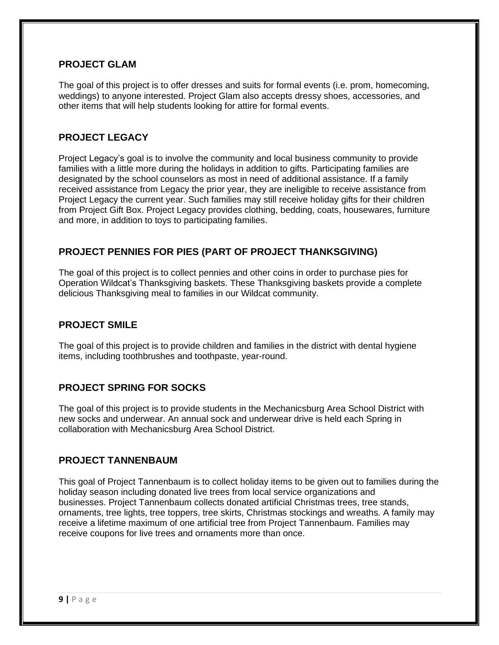#### **PROJECT GLAM**

The goal of this project is to offer dresses and suits for formal events (i.e. prom, homecoming, weddings) to anyone interested. Project Glam also accepts dressy shoes, accessories, and other items that will help students looking for attire for formal events.

#### **PROJECT LEGACY**

Project Legacy's goal is to involve the community and local business community to provide families with a little more during the holidays in addition to gifts. Participating families are designated by the school counselors as most in need of additional assistance. If a family received assistance from Legacy the prior year, they are ineligible to receive assistance from Project Legacy the current year. Such families may still receive holiday gifts for their children from Project Gift Box. Project Legacy provides clothing, bedding, coats, housewares, furniture and more, in addition to toys to participating families.

#### **PROJECT PENNIES FOR PIES (PART OF PROJECT THANKSGIVING)**

The goal of this project is to collect pennies and other coins in order to purchase pies for Operation Wildcat's Thanksgiving baskets. These Thanksgiving baskets provide a complete delicious Thanksgiving meal to families in our Wildcat community.

#### **PROJECT SMILE**

The goal of this project is to provide children and families in the district with dental hygiene items, including toothbrushes and toothpaste, year-round.

#### **PROJECT SPRING FOR SOCKS**

The goal of this project is to provide students in the Mechanicsburg Area School District with new socks and underwear. An annual sock and underwear drive is held each Spring in collaboration with Mechanicsburg Area School District.

#### **PROJECT TANNENBAUM**

This goal of Project Tannenbaum is to collect holiday items to be given out to families during the holiday season including donated live trees from local service organizations and businesses. Project Tannenbaum collects donated artificial Christmas trees, tree stands, ornaments, tree lights, tree toppers, tree skirts, Christmas stockings and wreaths. A family may receive a lifetime maximum of one artificial tree from Project Tannenbaum. Families may receive coupons for live trees and ornaments more than once.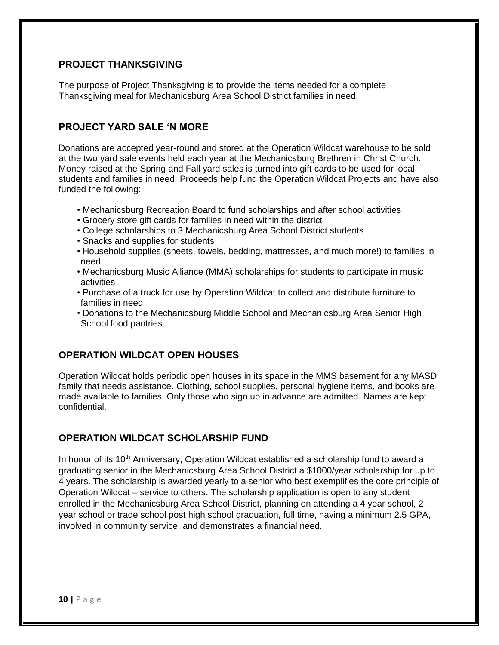#### **PROJECT THANKSGIVING**

The purpose of Project Thanksgiving is to provide the items needed for a complete Thanksgiving meal for Mechanicsburg Area School District families in need.

#### **PROJECT YARD SALE 'N MORE**

Donations are accepted year-round and stored at the Operation Wildcat warehouse to be sold at the two yard sale events held each year at the Mechanicsburg Brethren in Christ Church. Money raised at the Spring and Fall yard sales is turned into gift cards to be used for local students and families in need. Proceeds help fund the Operation Wildcat Projects and have also funded the following:

- Mechanicsburg Recreation Board to fund scholarships and after school activities
- Grocery store gift cards for families in need within the district
- College scholarships to 3 Mechanicsburg Area School District students
- Snacks and supplies for students
- Household supplies (sheets, towels, bedding, mattresses, and much more!) to families in need
- Mechanicsburg Music Alliance (MMA) scholarships for students to participate in music activities
- Purchase of a truck for use by Operation Wildcat to collect and distribute furniture to families in need
- Donations to the Mechanicsburg Middle School and Mechanicsburg Area Senior High School food pantries

#### **OPERATION WILDCAT OPEN HOUSES**

Operation Wildcat holds periodic open houses in its space in the MMS basement for any MASD family that needs assistance. Clothing, school supplies, personal hygiene items, and books are made available to families. Only those who sign up in advance are admitted. Names are kept confidential.

#### **OPERATION WILDCAT SCHOLARSHIP FUND**

In honor of its 10<sup>th</sup> Anniversary, Operation Wildcat established a scholarship fund to award a graduating senior in the Mechanicsburg Area School District a \$1000/year scholarship for up to 4 years. The scholarship is awarded yearly to a senior who best exemplifies the core principle of Operation Wildcat – service to others. The scholarship application is open to any student enrolled in the Mechanicsburg Area School District, planning on attending a 4 year school, 2 year school or trade school post high school graduation, full time, having a minimum 2.5 GPA, involved in community service, and demonstrates a financial need.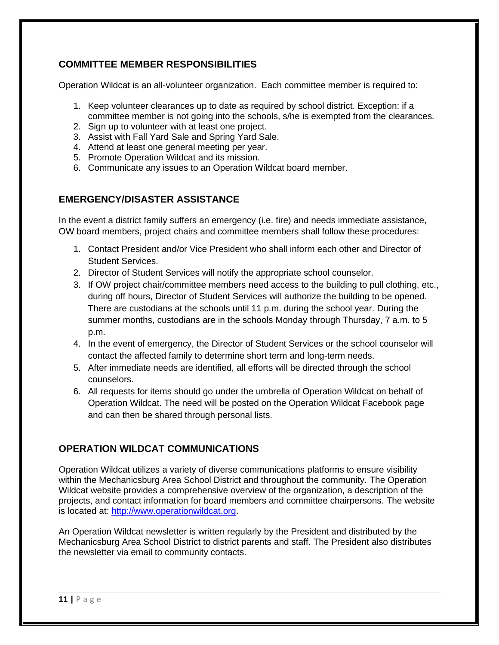#### **COMMITTEE MEMBER RESPONSIBILITIES**

Operation Wildcat is an all-volunteer organization. Each committee member is required to:

- 1. Keep volunteer clearances up to date as required by school district. Exception: if a committee member is not going into the schools, s/he is exempted from the clearances.
- 2. Sign up to volunteer with at least one project.
- 3. Assist with Fall Yard Sale and Spring Yard Sale.
- 4. Attend at least one general meeting per year.
- 5. Promote Operation Wildcat and its mission.
- 6. Communicate any issues to an Operation Wildcat board member.

#### **EMERGENCY/DISASTER ASSISTANCE**

In the event a district family suffers an emergency (i.e. fire) and needs immediate assistance, OW board members, project chairs and committee members shall follow these procedures:

- 1. Contact President and/or Vice President who shall inform each other and Director of Student Services.
- 2. Director of Student Services will notify the appropriate school counselor.
- 3. If OW project chair/committee members need access to the building to pull clothing, etc., during off hours, Director of Student Services will authorize the building to be opened. There are custodians at the schools until 11 p.m. during the school year. During the summer months, custodians are in the schools Monday through Thursday, 7 a.m. to 5 p.m.
- 4. In the event of emergency, the Director of Student Services or the school counselor will contact the affected family to determine short term and long-term needs.
- 5. After immediate needs are identified, all efforts will be directed through the school counselors.
- 6. All requests for items should go under the umbrella of Operation Wildcat on behalf of Operation Wildcat. The need will be posted on the Operation Wildcat Facebook page and can then be shared through personal lists.

#### **OPERATION WILDCAT COMMUNICATIONS**

Operation Wildcat utilizes a variety of diverse communications platforms to ensure visibility within the Mechanicsburg Area School District and throughout the community. The Operation Wildcat website provides a comprehensive overview of the organization, a description of the projects, and contact information for board members and committee chairpersons. The website is located at: [http://www.operationwildcat.org.](http://www.operationwildcat.org/)

An Operation Wildcat newsletter is written regularly by the President and distributed by the Mechanicsburg Area School District to district parents and staff. The President also distributes the newsletter via email to community contacts.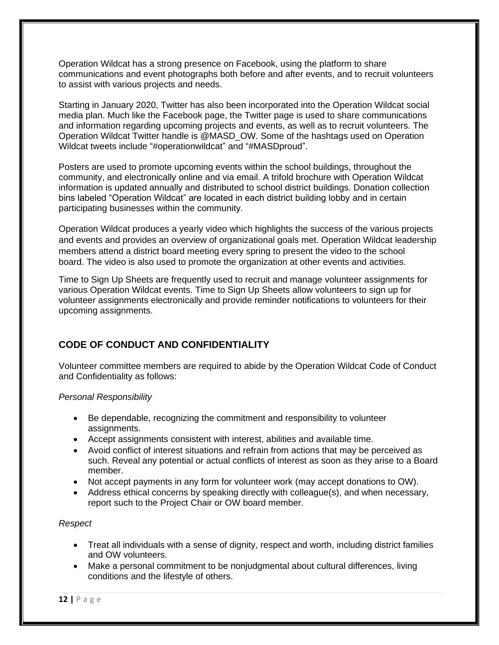Operation Wildcat has a strong presence on Facebook, using the platform to share communications and event photographs both before and after events, and to recruit volunteers to assist with various projects and needs.

Starting in January 2020, Twitter has also been incorporated into the Operation Wildcat social media plan. Much like the Facebook page, the Twitter page is used to share communications and information regarding upcoming projects and events, as well as to recruit volunteers. The Operation Wildcat Twitter handle is @MASD\_OW. Some of the hashtags used on Operation Wildcat tweets include "#operationwildcat" and "#MASDproud".

Posters are used to promote upcoming events within the school buildings, throughout the community, and electronically online and via email. A trifold brochure with Operation Wildcat information is updated annually and distributed to school district buildings. Donation collection bins labeled "Operation Wildcat" are located in each district building lobby and in certain participating businesses within the community.

Operation Wildcat produces a yearly video which highlights the success of the various projects and events and provides an overview of organizational goals met. Operation Wildcat leadership members attend a district board meeting every spring to present the video to the school board. The video is also used to promote the organization at other events and activities.

Time to Sign Up Sheets are frequently used to recruit and manage volunteer assignments for various Operation Wildcat events. Time to Sign Up Sheets allow volunteers to sign up for volunteer assignments electronically and provide reminder notifications to volunteers for their upcoming assignments.

#### **CODE OF CONDUCT AND CONFIDENTIALITY**

Volunteer committee members are required to abide by the Operation Wildcat Code of Conduct and Confidentiality as follows:

#### *Personal Responsibility*

- Be dependable, recognizing the commitment and responsibility to volunteer assignments.
- Accept assignments consistent with interest, abilities and available time.
- Avoid conflict of interest situations and refrain from actions that may be perceived as such. Reveal any potential or actual conflicts of interest as soon as they arise to a Board member.
- Not accept payments in any form for volunteer work (may accept donations to OW).
- Address ethical concerns by speaking directly with colleague(s), and when necessary, report such to the Project Chair or OW board member.

#### *Respect*

- Treat all individuals with a sense of dignity, respect and worth, including district families and OW volunteers.
- Make a personal commitment to be nonjudgmental about cultural differences, living conditions and the lifestyle of others.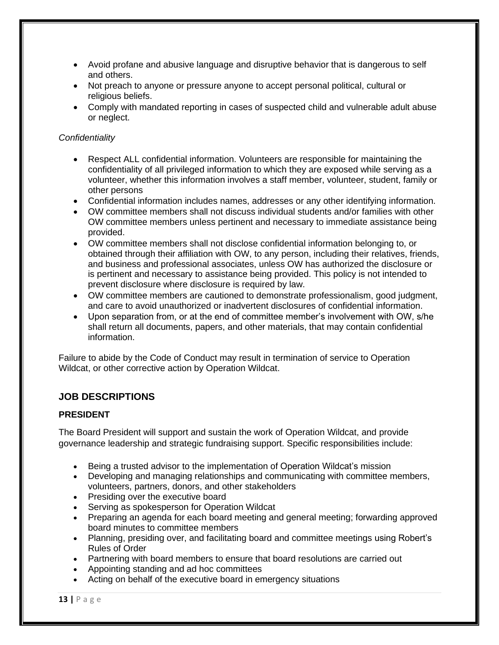- Avoid profane and abusive language and disruptive behavior that is dangerous to self and others.
- Not preach to anyone or pressure anyone to accept personal political, cultural or religious beliefs.
- Comply with mandated reporting in cases of suspected child and vulnerable adult abuse or neglect.

#### *Confidentiality*

- Respect ALL confidential information. Volunteers are responsible for maintaining the confidentiality of all privileged information to which they are exposed while serving as a volunteer, whether this information involves a staff member, volunteer, student, family or other persons
- Confidential information includes names, addresses or any other identifying information.
- OW committee members shall not discuss individual students and/or families with other OW committee members unless pertinent and necessary to immediate assistance being provided.
- OW committee members shall not disclose confidential information belonging to, or obtained through their affiliation with OW, to any person, including their relatives, friends, and business and professional associates, unless OW has authorized the disclosure or is pertinent and necessary to assistance being provided. This policy is not intended to prevent disclosure where disclosure is required by law.
- OW committee members are cautioned to demonstrate professionalism, good judgment, and care to avoid unauthorized or inadvertent disclosures of confidential information.
- Upon separation from, or at the end of committee member's involvement with OW, s/he shall return all documents, papers, and other materials, that may contain confidential information.

Failure to abide by the Code of Conduct may result in termination of service to Operation Wildcat, or other corrective action by Operation Wildcat.

#### **JOB DESCRIPTIONS**

#### **PRESIDENT**

The Board President will support and sustain the work of Operation Wildcat, and provide governance leadership and strategic fundraising support. Specific responsibilities include:

- Being a trusted advisor to the implementation of Operation Wildcat's mission
- Developing and managing relationships and communicating with committee members, volunteers, partners, donors, and other stakeholders
- Presiding over the executive board
- Serving as spokesperson for Operation Wildcat
- Preparing an agenda for each board meeting and general meeting; forwarding approved board minutes to committee members
- Planning, presiding over, and facilitating board and committee meetings using Robert's Rules of Order
- Partnering with board members to ensure that board resolutions are carried out
- Appointing standing and ad hoc committees
- Acting on behalf of the executive board in emergency situations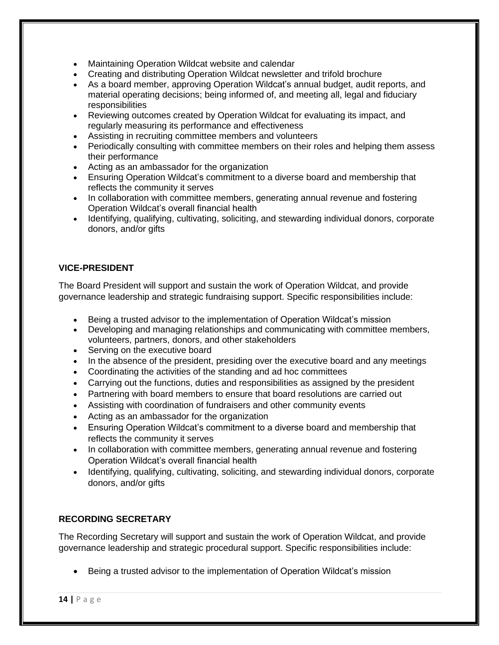- Maintaining Operation Wildcat website and calendar
- Creating and distributing Operation Wildcat newsletter and trifold brochure
- As a board member, approving Operation Wildcat's annual budget, audit reports, and material operating decisions; being informed of, and meeting all, legal and fiduciary responsibilities
- Reviewing outcomes created by Operation Wildcat for evaluating its impact, and regularly measuring its performance and effectiveness
- Assisting in recruiting committee members and volunteers
- Periodically consulting with committee members on their roles and helping them assess their performance
- Acting as an ambassador for the organization
- Ensuring Operation Wildcat's commitment to a diverse board and membership that reflects the community it serves
- In collaboration with committee members, generating annual revenue and fostering Operation Wildcat's overall financial health
- Identifying, qualifying, cultivating, soliciting, and stewarding individual donors, corporate donors, and/or gifts

#### **VICE-PRESIDENT**

The Board President will support and sustain the work of Operation Wildcat, and provide governance leadership and strategic fundraising support. Specific responsibilities include:

- Being a trusted advisor to the implementation of Operation Wildcat's mission
- Developing and managing relationships and communicating with committee members, volunteers, partners, donors, and other stakeholders
- Serving on the executive board
- In the absence of the president, presiding over the executive board and any meetings
- Coordinating the activities of the standing and ad hoc committees
- Carrying out the functions, duties and responsibilities as assigned by the president
- Partnering with board members to ensure that board resolutions are carried out
- Assisting with coordination of fundraisers and other community events
- Acting as an ambassador for the organization
- Ensuring Operation Wildcat's commitment to a diverse board and membership that reflects the community it serves
- In collaboration with committee members, generating annual revenue and fostering Operation Wildcat's overall financial health
- Identifying, qualifying, cultivating, soliciting, and stewarding individual donors, corporate donors, and/or gifts

#### **RECORDING SECRETARY**

The Recording Secretary will support and sustain the work of Operation Wildcat, and provide governance leadership and strategic procedural support. Specific responsibilities include:

• Being a trusted advisor to the implementation of Operation Wildcat's mission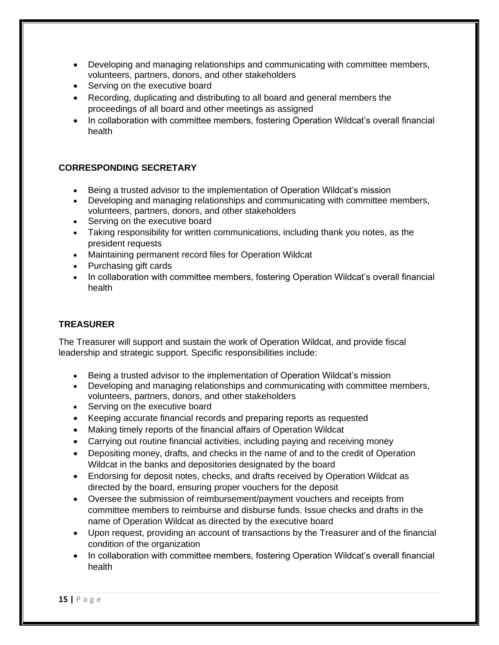- Developing and managing relationships and communicating with committee members, volunteers, partners, donors, and other stakeholders
- Serving on the executive board
- Recording, duplicating and distributing to all board and general members the proceedings of all board and other meetings as assigned
- In collaboration with committee members, fostering Operation Wildcat's overall financial health

#### **CORRESPONDING SECRETARY**

- Being a trusted advisor to the implementation of Operation Wildcat's mission
- Developing and managing relationships and communicating with committee members, volunteers, partners, donors, and other stakeholders
- Serving on the executive board
- Taking responsibility for written communications, including thank you notes, as the president requests
- Maintaining permanent record files for Operation Wildcat
- Purchasing gift cards
- In collaboration with committee members, fostering Operation Wildcat's overall financial health

#### **TREASURER**

The Treasurer will support and sustain the work of Operation Wildcat, and provide fiscal leadership and strategic support. Specific responsibilities include:

- Being a trusted advisor to the implementation of Operation Wildcat's mission
- Developing and managing relationships and communicating with committee members, volunteers, partners, donors, and other stakeholders
- Serving on the executive board
- Keeping accurate financial records and preparing reports as requested
- Making timely reports of the financial affairs of Operation Wildcat
- Carrying out routine financial activities, including paying and receiving money
- Depositing money, drafts, and checks in the name of and to the credit of Operation Wildcat in the banks and depositories designated by the board
- Endorsing for deposit notes, checks, and drafts received by Operation Wildcat as directed by the board, ensuring proper vouchers for the deposit
- Oversee the submission of reimbursement/payment vouchers and receipts from committee members to reimburse and disburse funds. Issue checks and drafts in the name of Operation Wildcat as directed by the executive board
- Upon request, providing an account of transactions by the Treasurer and of the financial condition of the organization
- In collaboration with committee members, fostering Operation Wildcat's overall financial health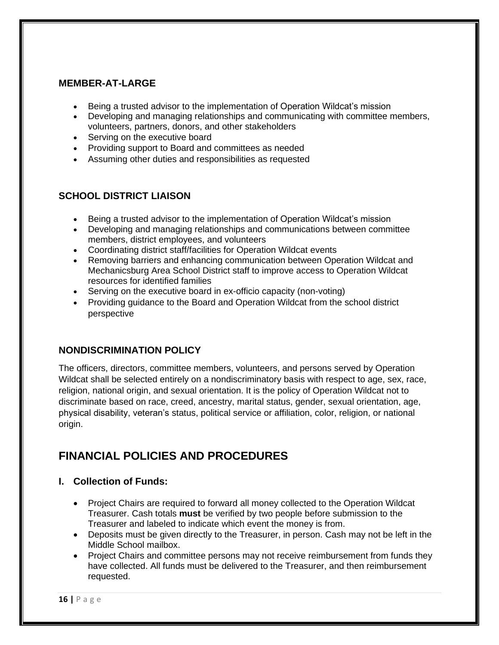#### **MEMBER-AT-LARGE**

- Being a trusted advisor to the implementation of Operation Wildcat's mission
- Developing and managing relationships and communicating with committee members, volunteers, partners, donors, and other stakeholders
- Serving on the executive board
- Providing support to Board and committees as needed
- Assuming other duties and responsibilities as requested

#### **SCHOOL DISTRICT LIAISON**

- Being a trusted advisor to the implementation of Operation Wildcat's mission
- Developing and managing relationships and communications between committee members, district employees, and volunteers
- Coordinating district staff/facilities for Operation Wildcat events
- Removing barriers and enhancing communication between Operation Wildcat and Mechanicsburg Area School District staff to improve access to Operation Wildcat resources for identified families
- Serving on the executive board in ex-officio capacity (non-voting)
- Providing guidance to the Board and Operation Wildcat from the school district perspective

#### **NONDISCRIMINATION POLICY**

The officers, directors, committee members, volunteers, and persons served by Operation Wildcat shall be selected entirely on a nondiscriminatory basis with respect to age, sex, race, religion, national origin, and sexual orientation. It is the policy of Operation Wildcat not to discriminate based on race, creed, ancestry, marital status, gender, sexual orientation, age, physical disability, veteran's status, political service or affiliation, color, religion, or national origin.

## **FINANCIAL POLICIES AND PROCEDURES**

#### **I. Collection of Funds:**

- Project Chairs are required to forward all money collected to the Operation Wildcat Treasurer. Cash totals **must** be verified by two people before submission to the Treasurer and labeled to indicate which event the money is from.
- Deposits must be given directly to the Treasurer, in person. Cash may not be left in the Middle School mailbox.
- Project Chairs and committee persons may not receive reimbursement from funds they have collected. All funds must be delivered to the Treasurer, and then reimbursement requested.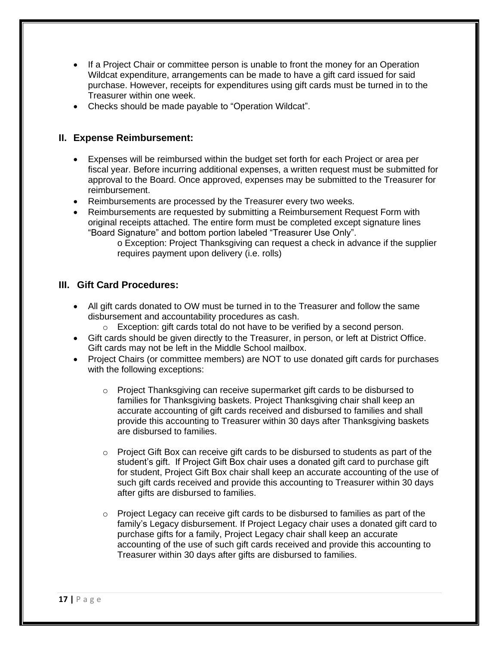- If a Project Chair or committee person is unable to front the money for an Operation Wildcat expenditure, arrangements can be made to have a gift card issued for said purchase. However, receipts for expenditures using gift cards must be turned in to the Treasurer within one week.
- Checks should be made payable to "Operation Wildcat".

#### **II. Expense Reimbursement:**

- Expenses will be reimbursed within the budget set forth for each Project or area per fiscal year. Before incurring additional expenses, a written request must be submitted for approval to the Board. Once approved, expenses may be submitted to the Treasurer for reimbursement.
- Reimbursements are processed by the Treasurer every two weeks.
- Reimbursements are requested by submitting a Reimbursement Request Form with original receipts attached. The entire form must be completed except signature lines "Board Signature" and bottom portion labeled "Treasurer Use Only".
	- o Exception: Project Thanksgiving can request a check in advance if the supplier requires payment upon delivery (i.e. rolls)

#### **III. Gift Card Procedures:**

- All gift cards donated to OW must be turned in to the Treasurer and follow the same disbursement and accountability procedures as cash.
	- o Exception: gift cards total do not have to be verified by a second person.
- Gift cards should be given directly to the Treasurer, in person, or left at District Office. Gift cards may not be left in the Middle School mailbox.
- Project Chairs (or committee members) are NOT to use donated gift cards for purchases with the following exceptions:
	- $\circ$  Project Thanksgiving can receive supermarket gift cards to be disbursed to families for Thanksgiving baskets. Project Thanksgiving chair shall keep an accurate accounting of gift cards received and disbursed to families and shall provide this accounting to Treasurer within 30 days after Thanksgiving baskets are disbursed to families.
	- o Project Gift Box can receive gift cards to be disbursed to students as part of the student's gift. If Project Gift Box chair uses a donated gift card to purchase gift for student, Project Gift Box chair shall keep an accurate accounting of the use of such gift cards received and provide this accounting to Treasurer within 30 days after gifts are disbursed to families.
	- $\circ$  Project Legacy can receive gift cards to be disbursed to families as part of the family's Legacy disbursement. If Project Legacy chair uses a donated gift card to purchase gifts for a family, Project Legacy chair shall keep an accurate accounting of the use of such gift cards received and provide this accounting to Treasurer within 30 days after gifts are disbursed to families.